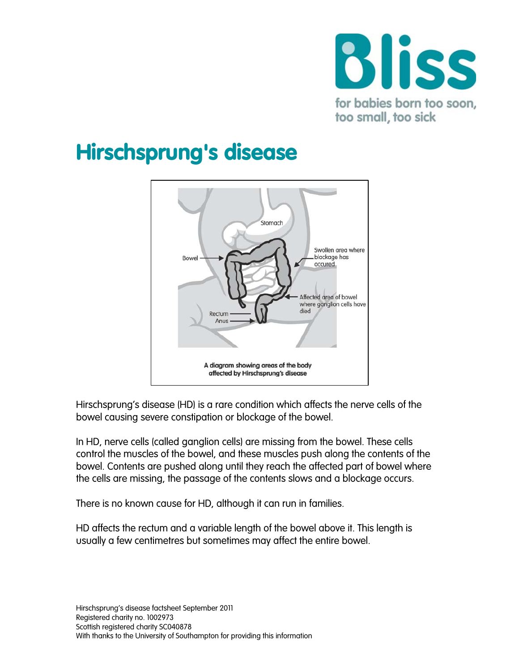

# Hirschsprung's disease



Hirschsprung's disease (HD) is a rare condition which affects the nerve cells of the bowel causing severe constipation or blockage of the bowel.

In HD, nerve cells (called ganglion cells) are missing from the bowel. These cells control the muscles of the bowel, and these muscles push along the contents of the bowel. Contents are pushed along until they reach the affected part of bowel where the cells are missing, the passage of the contents slows and a blockage occurs.

There is no known cause for HD, although it can run in families.

HD affects the rectum and a variable length of the bowel above it. This length is usually a few centimetres but sometimes may affect the entire bowel.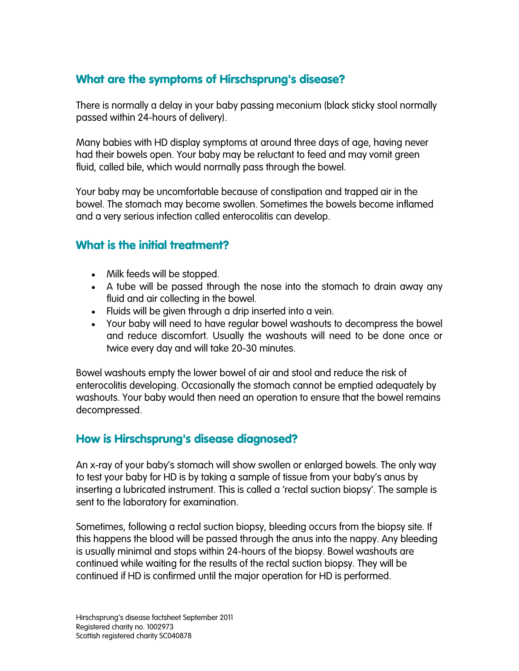## What are the symptoms of Hirschsprung's disease?

There is normally a delay in your baby passing meconium (black sticky stool normally passed within 24-hours of delivery).

Many babies with HD display symptoms at around three days of age, having never had their bowels open. Your baby may be reluctant to feed and may vomit green fluid, called bile, which would normally pass through the bowel.

Your baby may be uncomfortable because of constipation and trapped air in the bowel. The stomach may become swollen. Sometimes the bowels become inflamed and a very serious infection called [enterocolitis](http://www.suht.nhs.uk/OurServices/Childhealth/Neonatalsurgery/Conditionswetreat/HirschsprungsDisease.aspx#Enterocolitis) can develop.

## What is the initial treatment?

- Milk feeds will be stopped.
- A tube will be passed through the nose into the stomach to drain away any fluid and air collecting in the bowel.
- Fluids will be given through a drip inserted into a vein.
- Your baby will need to have regular bowel washouts to decompress the bowel and reduce discomfort. Usually the washouts will need to be done once or twice every day and will take 20-30 minutes.

Bowel washouts empty the lower bowel of air and stool and reduce the risk of enterocolitis developing. Occasionally the stomach cannot be emptied adequately by washouts. Your baby would then need an operation to ensure that the bowel remains decompressed.

#### How is Hirschsprung's disease diagnosed?

An x-ray of your baby's stomach will show swollen or enlarged bowels. The only way to test your baby for HD is by taking a sample of tissue from your baby's anus by inserting a lubricated instrument. This is called a 'rectal suction biopsy'. The sample is sent to the laboratory for examination.

Sometimes, following a rectal suction biopsy, bleeding occurs from the biopsy site. If this happens the blood will be passed through the anus into the nappy. Any bleeding is usually minimal and stops within 24-hours of the biopsy. Bowel washouts are continued while waiting for the results of the rectal suction biopsy. They will be continued if HD is confirmed until the major operation for HD is performed.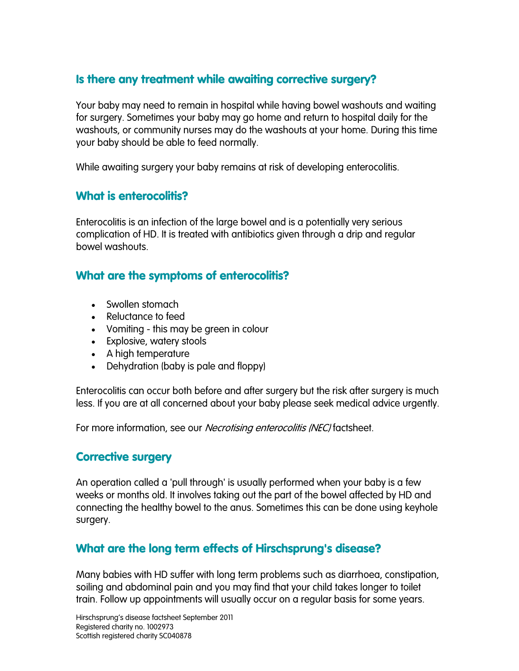### Is there any treatment while awaiting corrective surgery?

Your baby may need to remain in hospital while having bowel washouts and waiting for surgery. Sometimes your baby may go home and return to hospital daily for the washouts, or community nurses may do the washouts at your home. During this time your baby should be able to feed normally.

While awaiting surgery your baby remains at risk of developing enterocolitis.

## What is enterocolitis?

Enterocolitis is an infection of the large bowel and is a potentially very serious complication of HD. It is treated with antibiotics given through a drip and regular bowel washouts.

#### What are the symptoms of enterocolitis?

- Swollen stomach
- Reluctance to feed
- Vomiting this may be green in colour
- Explosive, watery stools
- A high temperature
- Dehydration (baby is pale and floppy)

Enterocolitis can occur both before and after surgery but the risk after surgery is much less. If you are at all concerned about your baby please seek medical advice urgently.

For more information, see our *Necrotising enterocolitis (NEC)* factsheet.

#### Corrective surgery

An operation called a 'pull through' is usually performed when your baby is a few weeks or months old. It involves taking out the part of the bowel affected by HD and connecting the healthy bowel to the anus. Sometimes this can be done using keyhole surgery.

#### What are the long term effects of Hirschsprung's disease?

Many babies with HD suffer with long term problems such as diarrhoea, constipation, soiling and abdominal pain and you may find that your child takes longer to toilet train. Follow up appointments will usually occur on a regular basis for some years.